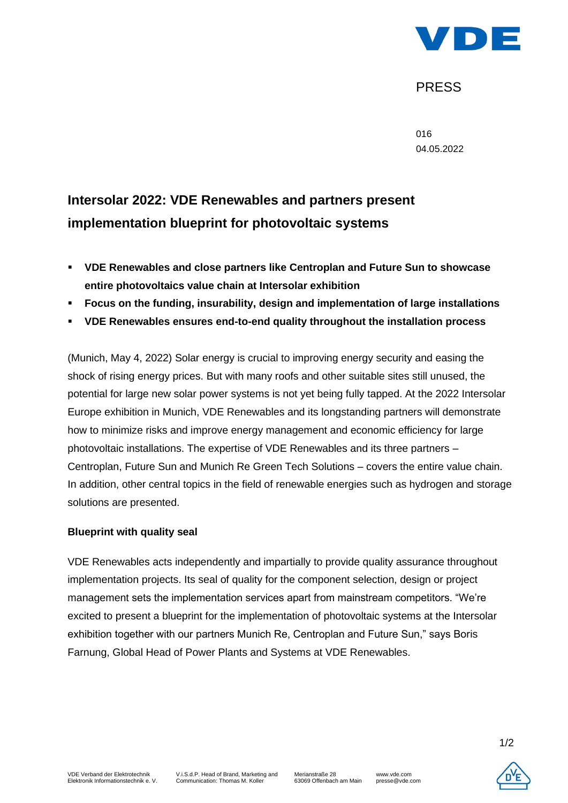

# PRESS

016 04.05.2022

# **Intersolar 2022: VDE Renewables and partners present implementation blueprint for photovoltaic systems**

- **VDE Renewables and close partners like Centroplan and Future Sun to showcase entire photovoltaics value chain at Intersolar exhibition**
- **Focus on the funding, insurability, design and implementation of large installations**
- **VDE Renewables ensures end-to-end quality throughout the installation process**

(Munich, May 4, 2022) Solar energy is crucial to improving energy security and easing the shock of rising energy prices. But with many roofs and other suitable sites still unused, the potential for large new solar power systems is not yet being fully tapped. At the 2022 Intersolar Europe exhibition in Munich, VDE Renewables and its longstanding partners will demonstrate how to minimize risks and improve energy management and economic efficiency for large photovoltaic installations. The expertise of VDE Renewables and its three partners – Centroplan, Future Sun and Munich Re Green Tech Solutions – covers the entire value chain. In addition, other central topics in the field of renewable energies such as hydrogen and storage solutions are presented.

#### **Blueprint with quality seal**

VDE Renewables acts independently and impartially to provide quality assurance throughout implementation projects. Its seal of quality for the component selection, design or project management sets the implementation services apart from mainstream competitors. "We're excited to present a blueprint for the implementation of photovoltaic systems at the Intersolar exhibition together with our partners Munich Re, Centroplan and Future Sun," says Boris Farnung, Global Head of Power Plants and Systems at VDE Renewables.